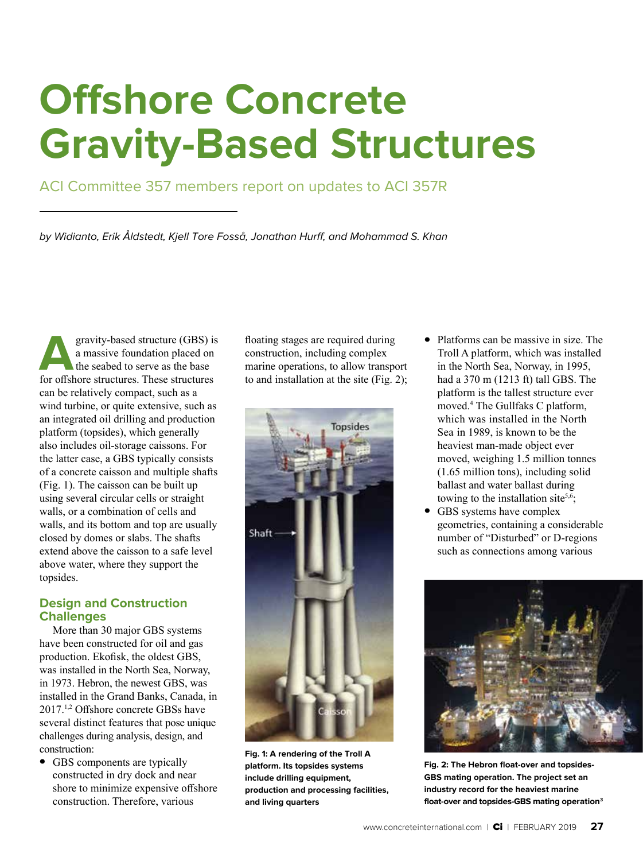# **Offshore Concrete Gravity-Based Structures**

## ACI Committee 357 members report on updates to ACI 357R

by Widianto, Erik Åldstedt, Kjell Tore Fosså, Jonathan Hurff, and Mohammad S. Khan

**A**gravity-based structure (GBS) is a massive foundation placed on the seabed to serve as the base for offshore structures. These structures can be relatively compact, such as a wind turbine, or quite extensive, such as an integrated oil drilling and production platform (topsides), which generally also includes oil-storage caissons. For the latter case, a GBS typically consists of a concrete caisson and multiple shafts (Fig. 1). The caisson can be built up using several circular cells or straight walls, or a combination of cells and walls, and its bottom and top are usually closed by domes or slabs. The shafts extend above the caisson to a safe level above water, where they support the topsides.

### **Design and Construction Challenges**

More than 30 major GBS systems have been constructed for oil and gas production. Ekofisk, the oldest GBS, was installed in the North Sea, Norway, in 1973. Hebron, the newest GBS, was installed in the Grand Banks, Canada, in 2017.1,2 Offshore concrete GBSs have several distinct features that pose unique challenges during analysis, design, and construction:

• GBS components are typically constructed in dry dock and near shore to minimize expensive offshore construction. Therefore, various

floating stages are required during construction, including complex marine operations, to allow transport to and installation at the site (Fig. 2);



**Fig. 1: A rendering of the Troll A platform. Its topsides systems include drilling equipment, production and processing facilities, and living quarters**

- Platforms can be massive in size. The Troll A platform, which was installed in the North Sea, Norway, in 1995, had a 370 m (1213 ft) tall GBS. The platform is the tallest structure ever moved.<sup>4</sup> The Gullfaks C platform, which was installed in the North Sea in 1989, is known to be the heaviest man-made object ever moved, weighing 1.5 million tonnes (1.65 million tons), including solid ballast and water ballast during towing to the installation site<sup>5,6</sup>;
- GBS systems have complex geometries, containing a considerable number of "Disturbed" or D-regions such as connections among various



**Fig. 2: The Hebron float-over and topsides-GBS mating operation. The project set an industry record for the heaviest marine float-over and topsides-GBS mating operation3**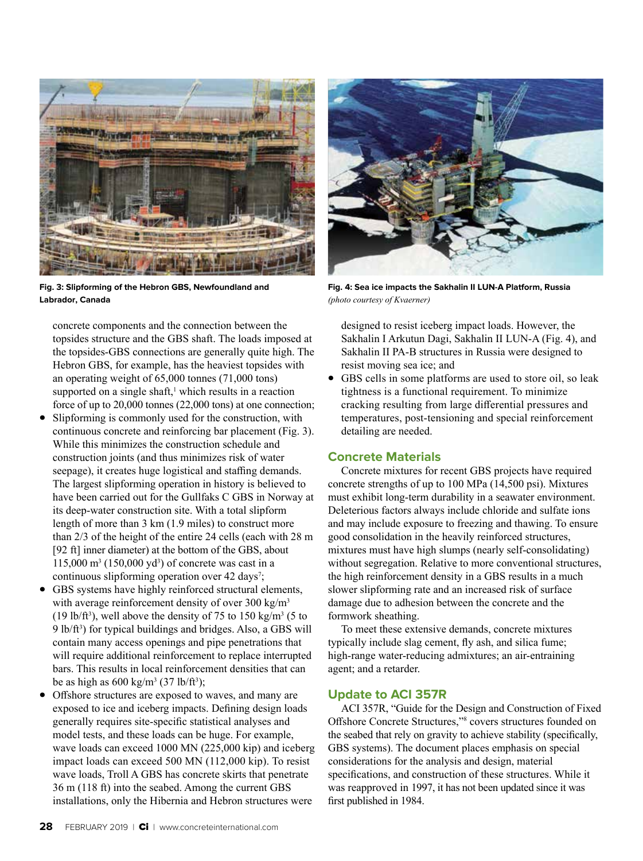

**Fig. 3: Slipforming of the Hebron GBS, Newfoundland and Labrador, Canada** 

concrete components and the connection between the topsides structure and the GBS shaft. The loads imposed at the topsides-GBS connections are generally quite high. The Hebron GBS, for example, has the heaviest topsides with an operating weight of 65,000 tonnes (71,000 tons) supported on a single shaft, $<sup>1</sup>$  which results in a reaction</sup> force of up to 20,000 tonnes (22,000 tons) at one connection;

- Slipforming is commonly used for the construction, with continuous concrete and reinforcing bar placement (Fig. 3). While this minimizes the construction schedule and construction joints (and thus minimizes risk of water seepage), it creates huge logistical and staffing demands. The largest slipforming operation in history is believed to have been carried out for the Gullfaks C GBS in Norway at its deep-water construction site. With a total slipform length of more than 3 km (1.9 miles) to construct more than 2/3 of the height of the entire 24 cells (each with 28 m [92 ft] inner diameter) at the bottom of the GBS, about  $115,000 \text{ m}^3 (150,000 \text{ yd}^3)$  of concrete was cast in a continuous slipforming operation over 42 days<sup>7</sup>;
- GBS systems have highly reinforced structural elements, with average reinforcement density of over  $300 \text{ kg/m}^3$ (19 lb/ft<sup>3</sup>), well above the density of 75 to 150 kg/m<sup>3</sup> (5 to 9 lb/ft<sup>3</sup>) for typical buildings and bridges. Also, a GBS will contain many access openings and pipe penetrations that will require additional reinforcement to replace interrupted bars. This results in local reinforcement densities that can be as high as  $600 \text{ kg/m}^3$  (37 lb/ft<sup>3</sup>);
- Offshore structures are exposed to waves, and many are exposed to ice and iceberg impacts. Defining design loads generally requires site-specific statistical analyses and model tests, and these loads can be huge. For example, wave loads can exceed 1000 MN (225,000 kip) and iceberg impact loads can exceed 500 MN (112,000 kip). To resist wave loads, Troll A GBS has concrete skirts that penetrate 36 m (118 ft) into the seabed. Among the current GBS installations, only the Hibernia and Hebron structures were



**Fig. 4: Sea ice impacts the Sakhalin II LUN-A Platform, Russia** *(photo courtesy of Kvaerner)*

designed to resist iceberg impact loads. However, the Sakhalin I Arkutun Dagi, Sakhalin II LUN-A (Fig. 4), and Sakhalin II PA-B structures in Russia were designed to resist moving sea ice; and

• GBS cells in some platforms are used to store oil, so leak tightness is a functional requirement. To minimize cracking resulting from large differential pressures and temperatures, post-tensioning and special reinforcement detailing are needed.

#### **Concrete Materials**

Concrete mixtures for recent GBS projects have required concrete strengths of up to 100 MPa (14,500 psi). Mixtures must exhibit long-term durability in a seawater environment. Deleterious factors always include chloride and sulfate ions and may include exposure to freezing and thawing. To ensure good consolidation in the heavily reinforced structures, mixtures must have high slumps (nearly self-consolidating) without segregation. Relative to more conventional structures, the high reinforcement density in a GBS results in a much slower slipforming rate and an increased risk of surface damage due to adhesion between the concrete and the formwork sheathing.

To meet these extensive demands, concrete mixtures typically include slag cement, fly ash, and silica fume; high-range water-reducing admixtures; an air-entraining agent; and a retarder.

#### **Update to ACI 357R**

ACI 357R, "Guide for the Design and Construction of Fixed Offshore Concrete Structures,"8 covers structures founded on the seabed that rely on gravity to achieve stability (specifically, GBS systems). The document places emphasis on special considerations for the analysis and design, material specifications, and construction of these structures. While it was reapproved in 1997, it has not been updated since it was first published in 1984.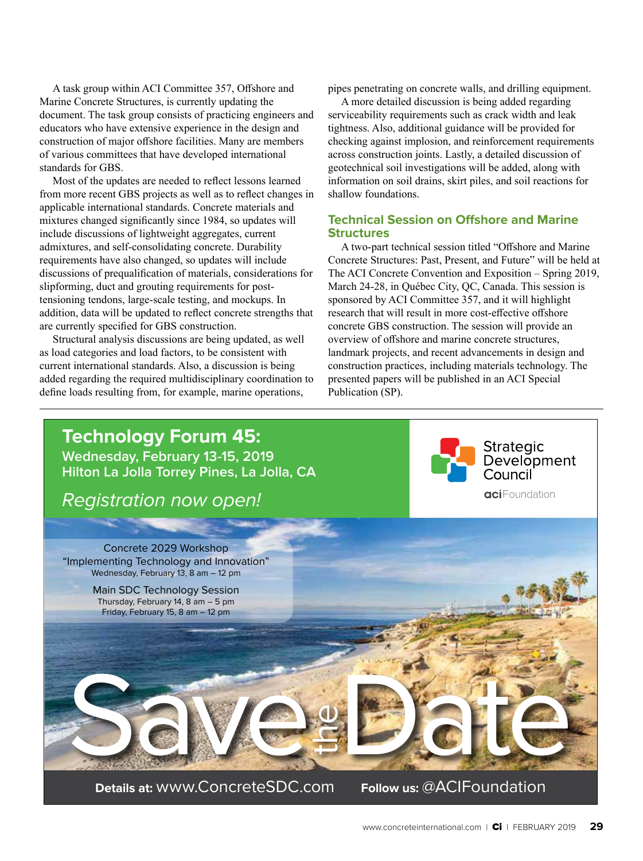A task group within ACI Committee 357, Offshore and Marine Concrete Structures, is currently updating the document. The task group consists of practicing engineers and educators who have extensive experience in the design and construction of major offshore facilities. Many are members of various committees that have developed international standards for GBS.

Most of the updates are needed to reflect lessons learned from more recent GBS projects as well as to reflect changes in applicable international standards. Concrete materials and mixtures changed significantly since 1984, so updates will include discussions of lightweight aggregates, current admixtures, and self-consolidating concrete. Durability requirements have also changed, so updates will include discussions of prequalification of materials, considerations for slipforming, duct and grouting requirements for posttensioning tendons, large-scale testing, and mockups. In addition, data will be updated to reflect concrete strengths that are currently specified for GBS construction.

Structural analysis discussions are being updated, as well as load categories and load factors, to be consistent with current international standards. Also, a discussion is being added regarding the required multidisciplinary coordination to define loads resulting from, for example, marine operations,

pipes penetrating on concrete walls, and drilling equipment.

A more detailed discussion is being added regarding serviceability requirements such as crack width and leak tightness. Also, additional guidance will be provided for checking against implosion, and reinforcement requirements across construction joints. Lastly, a detailed discussion of geotechnical soil investigations will be added, along with information on soil drains, skirt piles, and soil reactions for shallow foundations.

#### **Technical Session on Offshore and Marine Structures**

A two-part technical session titled "Offshore and Marine Concrete Structures: Past, Present, and Future" will be held at The ACI Concrete Convention and Exposition – Spring 2019, March 24-28, in Québec City, QC, Canada. This session is sponsored by ACI Committee 357, and it will highlight research that will result in more cost-effective offshore concrete GBS construction. The session will provide an overview of offshore and marine concrete structures, landmark projects, and recent advancements in design and construction practices, including materials technology. The presented papers will be published in an ACI Special Publication (SP).



www.concreteinternational.com | Ci | FEBRUARY 2019 **29**